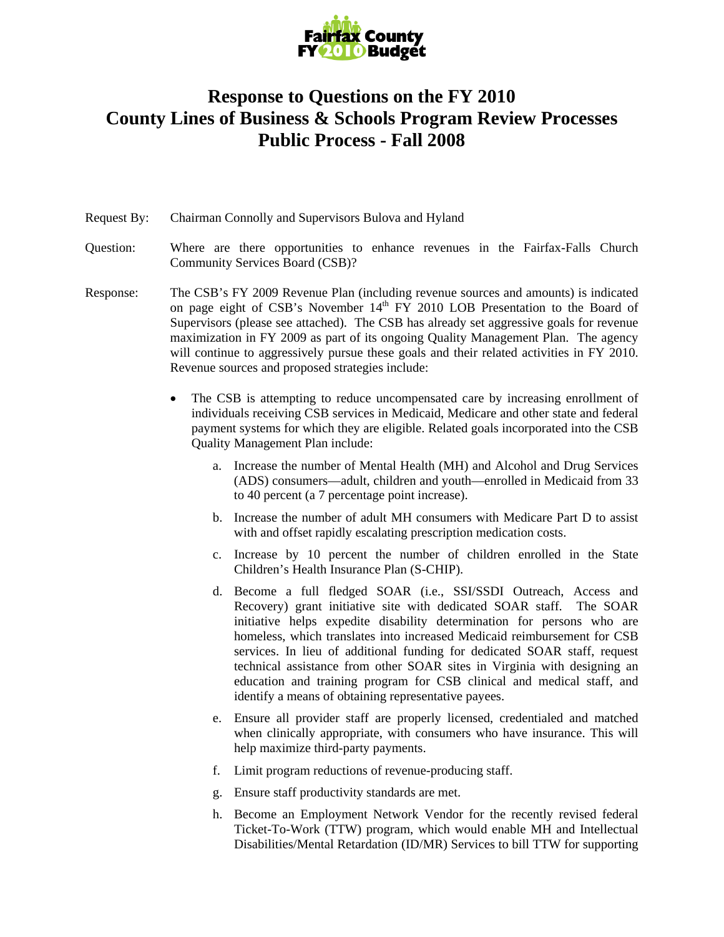

## **Response to Questions on the FY 2010 County Lines of Business & Schools Program Review Processes Public Process - Fall 2008**

## Request By: Chairman Connolly and Supervisors Bulova and Hyland

- Question: Where are there opportunities to enhance revenues in the Fairfax-Falls Church Community Services Board (CSB)?
- Response: The CSB's FY 2009 Revenue Plan (including revenue sources and amounts) is indicated on page eight of CSB's November  $14<sup>th</sup> FY 2010 LOB$  Presentation to the Board of Supervisors (please see attached). The CSB has already set aggressive goals for revenue maximization in FY 2009 as part of its ongoing Quality Management Plan. The agency will continue to aggressively pursue these goals and their related activities in FY 2010. Revenue sources and proposed strategies include:
	- The CSB is attempting to reduce uncompensated care by increasing enrollment of individuals receiving CSB services in Medicaid, Medicare and other state and federal payment systems for which they are eligible. Related goals incorporated into the CSB Quality Management Plan include:
		- a. Increase the number of Mental Health (MH) and Alcohol and Drug Services (ADS) consumers—adult, children and youth—enrolled in Medicaid from 33 to 40 percent (a 7 percentage point increase).
		- b. Increase the number of adult MH consumers with Medicare Part D to assist with and offset rapidly escalating prescription medication costs.
		- c. Increase by 10 percent the number of children enrolled in the State Children's Health Insurance Plan (S-CHIP).
		- d. Become a full fledged SOAR (i.e., SSI/SSDI Outreach, Access and Recovery) grant initiative site with dedicated SOAR staff. The SOAR initiative helps expedite disability determination for persons who are homeless, which translates into increased Medicaid reimbursement for CSB services. In lieu of additional funding for dedicated SOAR staff, request technical assistance from other SOAR sites in Virginia with designing an education and training program for CSB clinical and medical staff, and identify a means of obtaining representative payees.
		- e. Ensure all provider staff are properly licensed, credentialed and matched when clinically appropriate, with consumers who have insurance. This will help maximize third-party payments.
		- f. Limit program reductions of revenue-producing staff.
		- g. Ensure staff productivity standards are met.
		- h. Become an Employment Network Vendor for the recently revised federal Ticket-To-Work (TTW) program, which would enable MH and Intellectual Disabilities/Mental Retardation (ID/MR) Services to bill TTW for supporting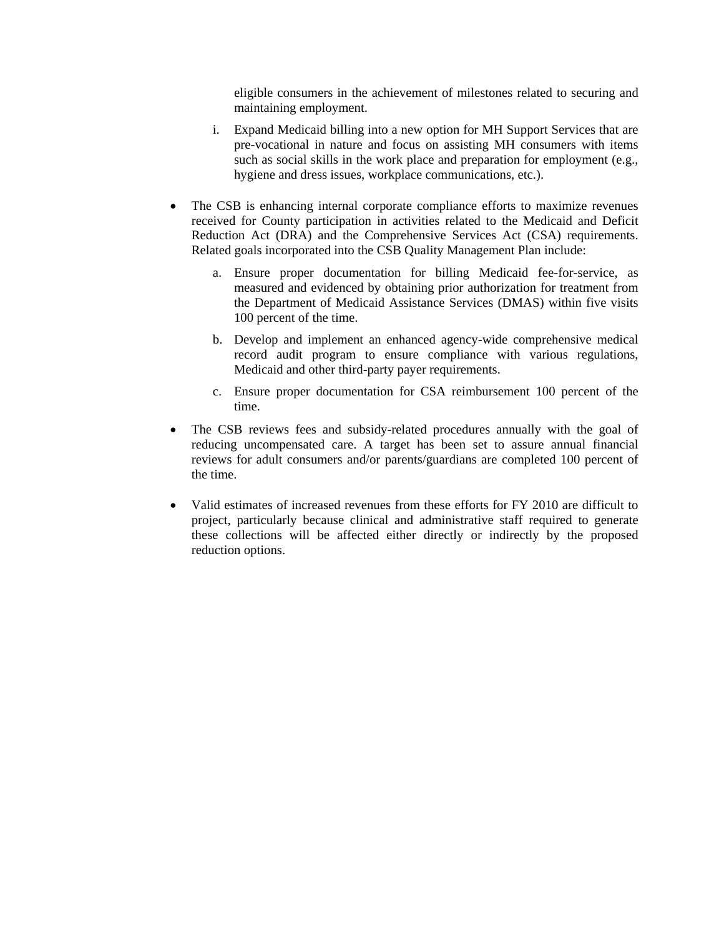eligible consumers in the achievement of milestones related to securing and maintaining employment.

- i. Expand Medicaid billing into a new option for MH Support Services that are pre-vocational in nature and focus on assisting MH consumers with items such as social skills in the work place and preparation for employment (e.g., hygiene and dress issues, workplace communications, etc.).
- The CSB is enhancing internal corporate compliance efforts to maximize revenues received for County participation in activities related to the Medicaid and Deficit Reduction Act (DRA) and the Comprehensive Services Act (CSA) requirements. Related goals incorporated into the CSB Quality Management Plan include:
	- a. Ensure proper documentation for billing Medicaid fee-for-service, as measured and evidenced by obtaining prior authorization for treatment from the Department of Medicaid Assistance Services (DMAS) within five visits 100 percent of the time.
	- b. Develop and implement an enhanced agency-wide comprehensive medical record audit program to ensure compliance with various regulations, Medicaid and other third-party payer requirements.
	- c. Ensure proper documentation for CSA reimbursement 100 percent of the time.
- The CSB reviews fees and subsidy-related procedures annually with the goal of reducing uncompensated care. A target has been set to assure annual financial reviews for adult consumers and/or parents/guardians are completed 100 percent of the time.
- Valid estimates of increased revenues from these efforts for FY 2010 are difficult to project, particularly because clinical and administrative staff required to generate these collections will be affected either directly or indirectly by the proposed reduction options.